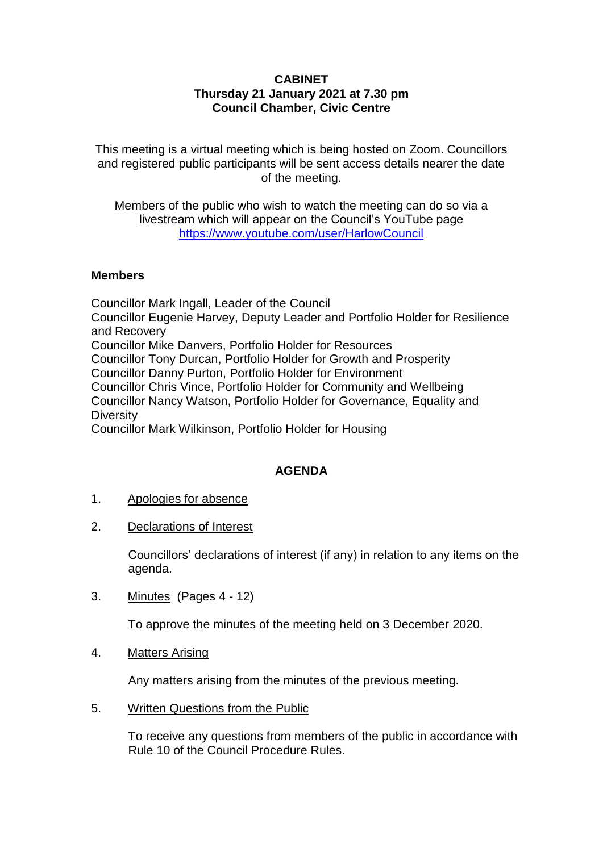# **CABINET Thursday 21 January 2021 at 7.30 pm Council Chamber, Civic Centre**

This meeting is a virtual meeting which is being hosted on Zoom. Councillors and registered public participants will be sent access details nearer the date of the meeting.

Members of the public who wish to watch the meeting can do so via a livestream which will appear on the Council's YouTube page <https://www.youtube.com/user/HarlowCouncil>

#### **Members**

Councillor Mark Ingall, Leader of the Council Councillor Eugenie Harvey, Deputy Leader and Portfolio Holder for Resilience and Recovery Councillor Mike Danvers, Portfolio Holder for Resources Councillor Tony Durcan, Portfolio Holder for Growth and Prosperity Councillor Danny Purton, Portfolio Holder for Environment Councillor Chris Vince, Portfolio Holder for Community and Wellbeing Councillor Nancy Watson, Portfolio Holder for Governance, Equality and **Diversity** Councillor Mark Wilkinson, Portfolio Holder for Housing

## **AGENDA**

- 1. Apologies for absence
- 2. Declarations of Interest

Councillors' declarations of interest (if any) in relation to any items on the agenda.

3. Minutes (Pages 4 - 12)

To approve the minutes of the meeting held on 3 December 2020.

4. Matters Arising

Any matters arising from the minutes of the previous meeting.

5. Written Questions from the Public

To receive any questions from members of the public in accordance with Rule 10 of the Council Procedure Rules.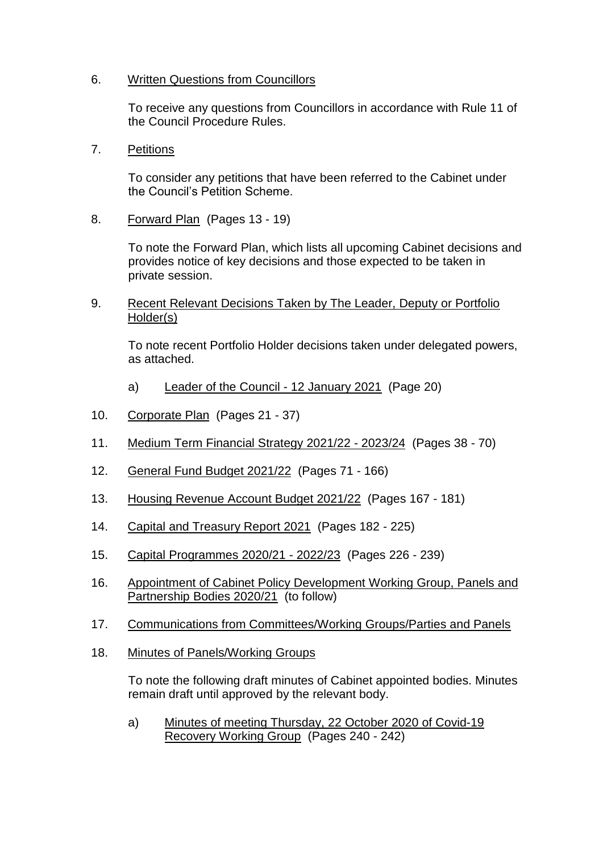## 6. Written Questions from Councillors

To receive any questions from Councillors in accordance with Rule 11 of the Council Procedure Rules.

7. Petitions

To consider any petitions that have been referred to the Cabinet under the Council's Petition Scheme.

8. Forward Plan (Pages 13 - 19)

To note the Forward Plan, which lists all upcoming Cabinet decisions and provides notice of key decisions and those expected to be taken in private session.

9. Recent Relevant Decisions Taken by The Leader, Deputy or Portfolio Holder(s)

To note recent Portfolio Holder decisions taken under delegated powers, as attached.

- a) Leader of the Council 12 January 2021 (Page 20)
- 10. Corporate Plan (Pages 21 37)
- 11. Medium Term Financial Strategy 2021/22 2023/24 (Pages 38 70)
- 12. General Fund Budget 2021/22 (Pages 71 166)
- 13. Housing Revenue Account Budget 2021/22 (Pages 167 181)
- 14. Capital and Treasury Report 2021 (Pages 182 225)
- 15. Capital Programmes 2020/21 2022/23 (Pages 226 239)
- 16. Appointment of Cabinet Policy Development Working Group, Panels and Partnership Bodies 2020/21 (to follow)
- 17. Communications from Committees/Working Groups/Parties and Panels
- 18. Minutes of Panels/Working Groups

To note the following draft minutes of Cabinet appointed bodies. Minutes remain draft until approved by the relevant body.

a) Minutes of meeting Thursday, 22 October 2020 of Covid-19 Recovery Working Group (Pages 240 - 242)